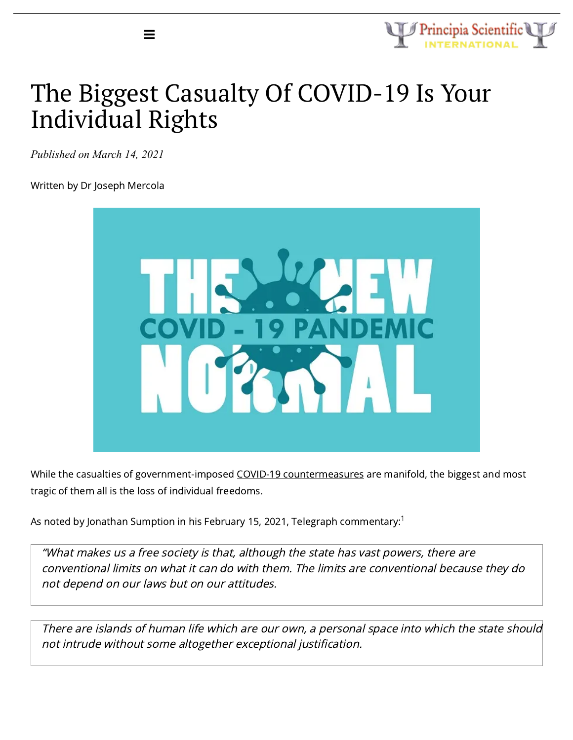

# The Biggest Casualty Of COVID-19 Is Your Individual Rights

*Published on March 14, 2021*

≡

Written by Dr Joseph Mercola



While the casualties of government-imposed COVID-19 [countermeasures](https://articles.mercola.com/sites/articles/archive/2021/02/25/public-health-officials-lying-about-lockdowns.aspx) are manifold, the biggest and most tragic of them all is the loss of individual freedoms.

As noted by Jonathan Sumption in his February 15, 2021, Telegraph commentary: $^{\rm 1}$ 

"What makes us <sup>a</sup> free society is that, although the state has vast powers, there are conventional limits on what it can do with them. The limits are conventional because they do not depend on our laws but on our attitudes.

There are islands of human life which are our own, <sup>a</sup> personal space into which the state should not intrude without some altogether exceptional justification.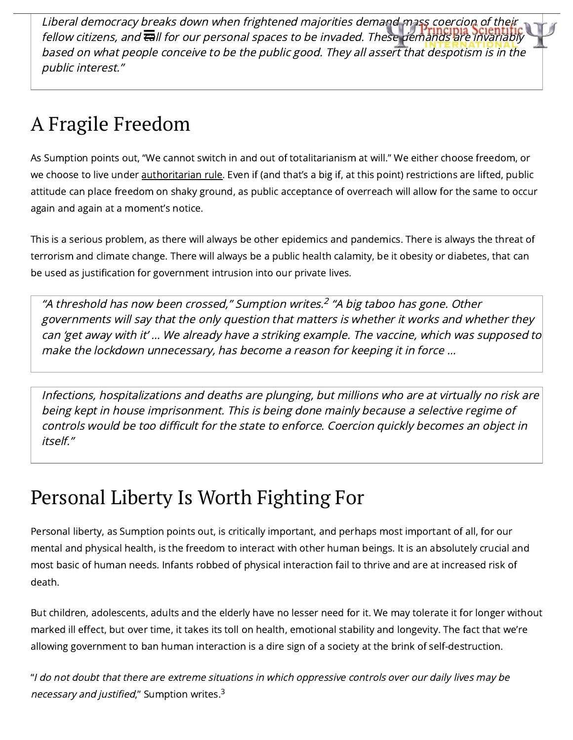Liberal democracy breaks down when frightened majorities demand mass coercion of their fellow citizens, and call for our personal spaces to be invaded. These demands are [invariably](https://principia-scientific.com/) based on what people conceive to be the public good. They all assert that despotism is in the public interest."

# A Fragile Freedom

As Sumption points out, "We cannot switch in and out of totalitarianism at will." We either choose freedom, or we choose to live under [authoritarian](https://articles.mercola.com/sites/articles/archive/2020/09/19/government-using-fear-to-control.aspx) rule. Even if (and that's a big if, at this point) restrictions are lifted, public attitude can place freedom on shaky ground, as public acceptance of overreach will allow for the same to occur again and again at a moment's notice.

This is a serious problem, as there will always be other epidemics and pandemics. There is always the threat of terrorism and climate change. There will always be a public health calamity, be it obesity or diabetes, that can be used as justification for government intrusion into our private lives.

"A threshold has now been crossed," Sumption writes. $^2$  "A big taboo has gone. Other governments will say that the only question that matters is whether it works and whether they can 'get away with it' … We already have <sup>a</sup> striking example. The vaccine, which was supposed to make the lockdown unnecessary, has become <sup>a</sup> reason for keeping it in force …

Infections, hospitalizations and deaths are plunging, but millions who are at virtually no risk are being kept in house imprisonment. This is being done mainly because <sup>a</sup> selective regime of controls would be too difficult for the state to enforce. Coercion quickly becomes an object in itself."

# Personal Liberty Is Worth Fighting For

Personal liberty, as Sumption points out, is critically important, and perhaps most important of all, for our mental and physical health, is the freedom to interact with other human beings. It is an absolutely crucial and most basic of human needs. Infants robbed of physical interaction fail to thrive and are at increased risk of death.

But children, adolescents, adults and the elderly have no lesser need for it. We may tolerate it for longer without marked ill effect, but over time, it takes its toll on health, emotional stability and longevity. The fact that we're allowing government to ban human interaction is a dire sign of a society at the brink of self-destruction.

"I do not doubt that there are extreme situations in which oppressive controls over our daily lives may be *necessary and justified*," Sumption writes.<sup>3</sup>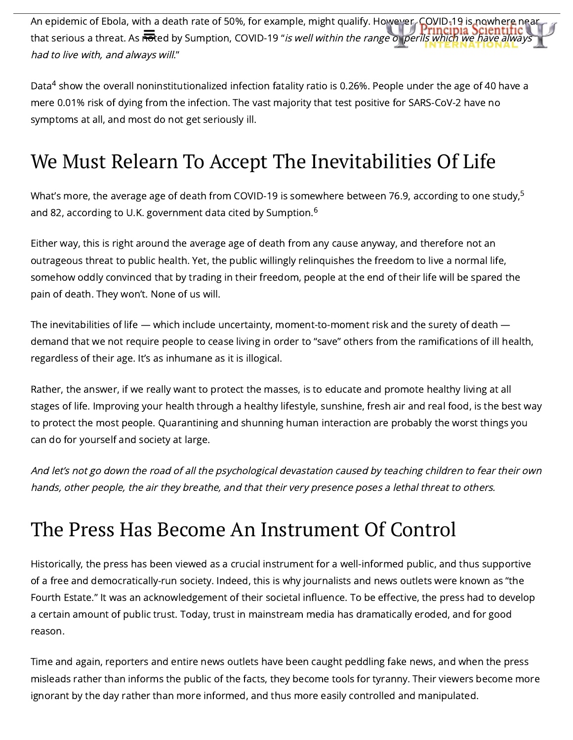An epidemic of Ebola, with a death rate of 50%, for example, might qualify. However, COVID-19 is nowhere near that serious a threat. As **no**ted by Sumption, COVID-19 "*is well within the range of perils which we have [always](https://principia-scientific.com/)* had to live with, and always will."

Data $^4$  show the overall noninstitutionalized infection fatality ratio is 0.26%. People under the age of 40 have a mere 0.01% risk of dying from the infection. The vast majority that test positive for SARS-CoV-2 have no symptoms at all, and most do not get seriously ill.

## We Must Relearn To Accept The Inevitabilities Of Life

What's more, the average age of death from COVID-19 is somewhere between 76.9, according to one study, $^5$ and 82, according to U.K. government data cited by Sumption. $^6$ 

Either way, this is right around the average age of death from any cause anyway, and therefore not an outrageous threat to public health. Yet, the public willingly relinquishes the freedom to live a normal life, somehow oddly convinced that by trading in their freedom, people at the end of their life will be spared the pain of death. They won't. None of us will.

The inevitabilities of life — which include uncertainty, moment-to-moment risk and the surety of death demand that we not require people to cease living in order to "save" others from the ramifications of ill health, regardless of their age. It's as inhumane as it is illogical.

Rather, the answer, if we really want to protect the masses, is to educate and promote healthy living at all stages of life. Improving your health through a healthy lifestyle, sunshine, fresh air and real food, is the best way to protect the most people. Quarantining and shunning human interaction are probably the worst things you can do for yourself and society at large.

And let's not go down the road of all the psychological devastation caused by teaching children to fear their own hands, other people, the air they breathe, and that their very presence poses <sup>a</sup> lethal threat to others.

#### The Press Has Become An Instrument Of Control

Historically, the press has been viewed as a crucial instrument for a well-informed public, and thus supportive of a free and democratically-run society. Indeed, this is why journalists and news outlets were known as "the Fourth Estate." It was an acknowledgement of their societal influence. To be effective, the press had to develop a certain amount of public trust. Today, trust in mainstream media has dramatically eroded, and for good reason.

Time and again, reporters and entire news outlets have been caught peddling fake news, and when the press misleads rather than informs the public of the facts, they become tools for tyranny. Their viewers become more ignorant by the day rather than more informed, and thus more easily controlled and manipulated.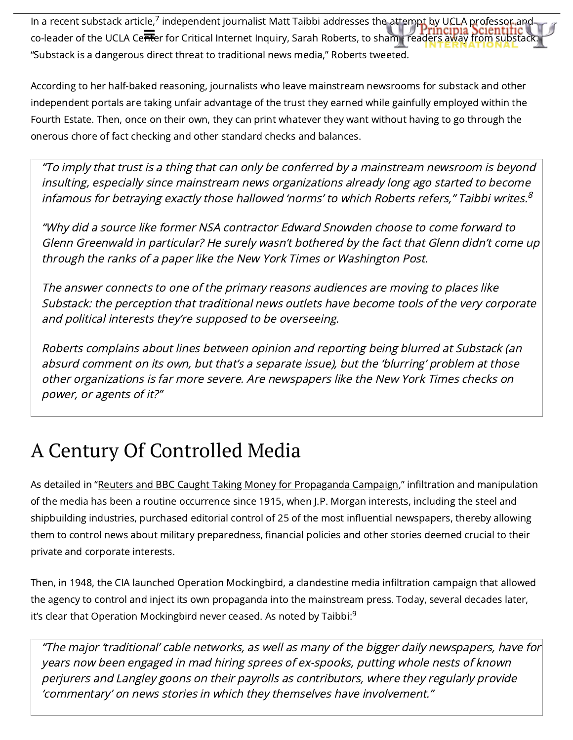In a recent substack article,<sup>7</sup> independent journalist Matt Taibbi addresses the attempt by UCLA professor and co-leader of the UCLA Center for Critical Internet Inquiry, Sarah Roberts, to shame readers away from [substack.](https://principia-scientific.com/) "Substack is a dangerous direct threat to traditional news media," Roberts tweeted.

According to her half-baked reasoning, journalists who leave mainstream newsrooms for substack and other independent portals are taking unfair advantage of the trust they earned while gainfully employed within the Fourth Estate. Then, once on their own, they can print whatever they want without having to go through the onerous chore of fact checking and other standard checks and balances.

"To imply that trust is <sup>a</sup> thing that can only be conferred by <sup>a</sup> mainstream newsroom is beyond insulting, especially since mainstream news organizations already long ago started to become infamous for betraying exactly those hallowed 'norms' to which Roberts refers," Taibbi writes. $^8$ 

"Why did <sup>a</sup> source like former NSA contractor Edward Snowden choose to come forward to Glenn Greenwald in particular? He surely wasn't bothered by the fact that Glenn didn't come up through the ranks of <sup>a</sup> paper like the New York Times or Washington Post.

The answer connects to one of the primary reasons audiences are moving to places like Substack: the perception that traditional news outlets have become tools of the very corporate and political interests they're supposed to be overseeing.

Roberts complains about lines between opinion and reporting being blurred at Substack (an absurd comment on its own, but that's <sup>a</sup> separate issue), but the 'blurring' problem at those other organizations is far more severe. Are newspapers like the New York Times checks on power, or agents of it?"

# A Century Of Controlled Media

As detailed in "Reuters and BBC Caught Taking Money for [Propaganda](https://articles.mercola.com/sites/articles/archive/2021/03/10/reuters-bbc-were-paid-for-propaganda-campaign.aspx) Campaign," infiltration and manipulation of the media has been a routine occurrence since 1915, when J.P. Morgan interests, including the steel and shipbuilding industries, purchased editorial control of 25 of the most influential newspapers, thereby allowing them to control news about military preparedness, financial policies and other stories deemed crucial to their private and corporate interests.

Then, in 1948, the CIA launched Operation Mockingbird, a clandestine media infiltration campaign that allowed the agency to control and inject its own propaganda into the mainstream press. Today, several decades later, it's clear that Operation Mockingbird never ceased. As noted by Taibbi: $^9$ 

"The major 'traditional' cable networks, as well as many of the bigger daily newspapers, have for years now been engaged in mad hiring sprees of ex-spooks, putting whole nests of known perjurers and Langley goons on their payrolls as contributors, where they regularly provide 'commentary' on news stories in which they themselves have involvement."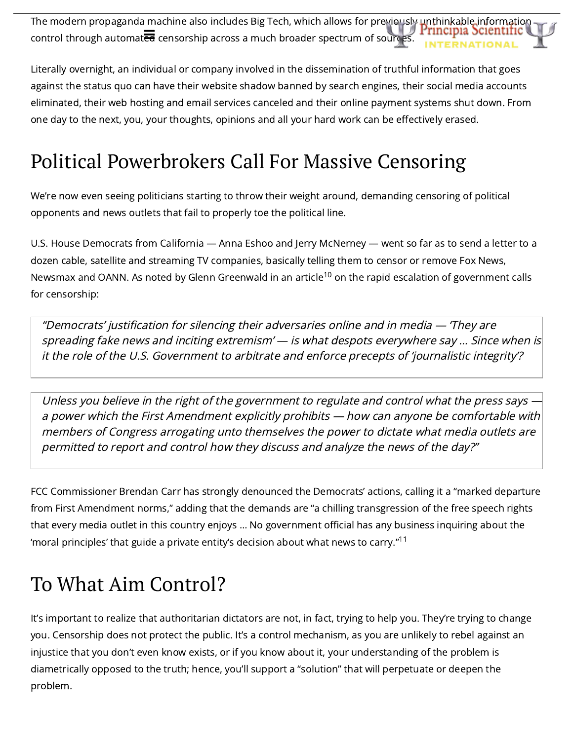The modern propaganda machine also includes Big Tech, which allows for previously [unthinkable](https://principia-scientific.com/) information<br>Principia Scientific  $\overline{\text{control}}$  through automat $\overline{\overline{\text{ed}}}$  censorship across a much broader spectrum of sources.

Literally overnight, an individual or company involved in the dissemination of truthful information that goes against the status quo can have their website shadow banned by search engines, their social media accounts eliminated, their web hosting and email services canceled and their online payment systems shut down. From one day to the next, you, your thoughts, opinions and all your hard work can be effectively erased.

## Political Powerbrokers Call For Massive Censoring

We're now even seeing politicians starting to throw their weight around, demanding censoring of political opponents and news outlets that fail to properly toe the political line.

U.S. House Democrats from California — Anna Eshoo and Jerry McNerney — went so far as to send a letter to a dozen cable, satellite and streaming TV companies, basically telling them to censor or remove Fox News, Newsmax and OANN. As noted by Glenn Greenwald in an article<sup>10</sup> on the rapid escalation of government calls for censorship:

"Democrats' justification for silencing their adversaries online and in media — 'They are spreading fake news and inciting extremism' — is what despots everywhere say … Since when is it the role of the U.S. Government to arbitrate and enforce precepts of 'journalistic integrity'?

Unless you believe in the right of the government to regulate and control what the press says <sup>a</sup> power which the First Amendment explicitly prohibits — how can anyone be comfortable with members of Congress arrogating unto themselves the power to dictate what media outlets are permitted to report and control how they discuss and analyze the news of the day?"

FCC Commissioner Brendan Carr has strongly denounced the Democrats' actions, calling it a "marked departure from First Amendment norms," adding that the demands are "a chilling transgression of the free speech rights that every media outlet in this country enjoys … No government official has any business inquiring about the 'moral principles' that guide a private entity's decision about what news to carry." $^{\mathsf{11}}$ 

# To What Aim Control?

It's important to realize that authoritarian dictators are not, in fact, trying to help you. They're trying to change you. Censorship does not protect the public. It's a control mechanism, as you are unlikely to rebel against an injustice that you don't even know exists, or if you know about it, your understanding of the problem is diametrically opposed to the truth; hence, you'll support a "solution" that will perpetuate or deepen the problem.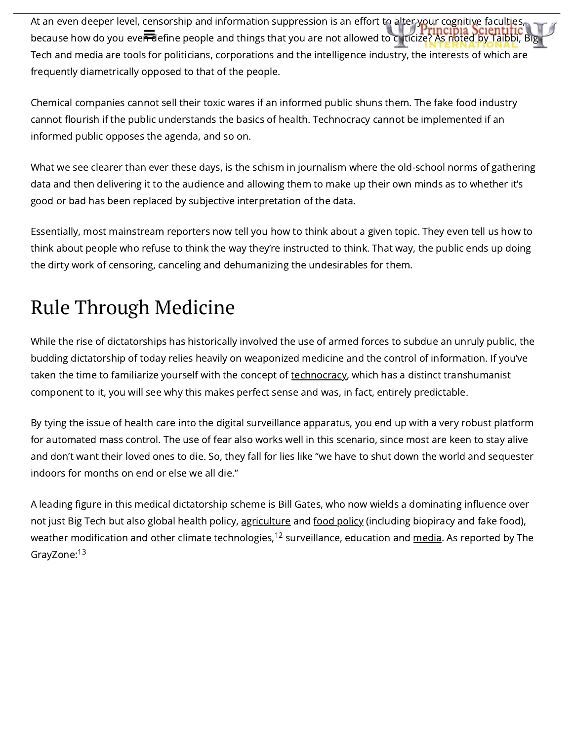At an even deeper level, censorship and information suppression is an effort to alter your cognitive faculties, because how do you ever define people and things that you are not allowed to [criticize?](https://principia-scientific.com/) As noted by Taibbi, Big Tech and media are tools for politicians, corporations and the intelligence industry, the interests of which are frequently diametrically opposed to that of the people.

Chemical companies cannot sell their toxic wares if an informed public shuns them. The fake food industry cannot flourish if the public understands the basics of health. Technocracy cannot be implemented if an informed public opposes the agenda, and so on.

What we see clearer than ever these days, is the schism in journalism where the old-school norms of gathering data and then delivering it to the audience and allowing them to make up their own minds as to whether it's good or bad has been replaced by subjective interpretation of the data.

Essentially, most mainstream reporters now tell you how to think about a given topic. They even tell us how to think about people who refuse to think the way they're instructed to think. That way, the public ends up doing the dirty work of censoring, canceling and dehumanizing the undesirables for them.

# Rule Through Medicine

While the rise of dictatorships has historically involved the use of armed forces to subdue an unruly public, the budding dictatorship of today relies heavily on weaponized medicine and the control of information. If you've taken the time to familiarize yourself with the concept of [technocracy,](https://articles.mercola.com/sites/articles/archive/2020/08/30/patrick-wood-technocracy.aspx) which has a distinct transhumanist component to it, you will see why this makes perfect sense and was, in fact, entirely predictable.

By tying the issue of health care into the digital surveillance apparatus, you end up with a very robust platform for automated mass control. The use of fear also works well in this scenario, since most are keen to stay alive and don't want their loved ones to die. So, they fall for lies like "we have to shut down the world and sequester indoors for months on end or else we all die."

A leading figure in this medical dictatorship scheme is Bill Gates, who now wields a dominating influence over not just Big Tech but also global health policy, [agriculture](https://articles.mercola.com/sites/articles/archive/2021/01/25/bill-gates-biggest-private-farmland-owner.aspx) and food [policy](https://articles.mercola.com/sites/articles/archive/2020/08/21/food-and-agriculture-policy-bill-gates-foundation.aspx) (including biopiracy and fake food), weather modification and other climate technologies, $^{\text{12}}$  surveillance, education and <u>[media](https://articles.mercola.com/sites/articles/archive/2020/09/07/bill-and-melinda-gates-foundation-media.aspx)</u>. As reported by The GrayZone:<sup>13</sup>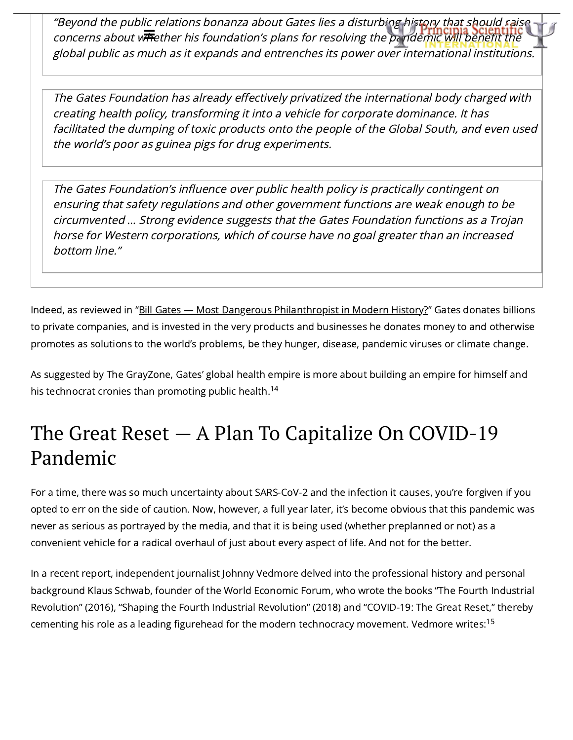"Beyond the public relations bonanza about Gates lies a disturbing history that should raise concerns about w**hether his foundation's plans for resolving the [pandemic](https://principia-scientific.com/) will benefit the** global public as much as it expands and entrenches its power over international institutions.

The Gates Foundation has already effectively privatized the international body charged with creating health policy, transforming it into <sup>a</sup> vehicle for corporate dominance. It has facilitated the dumping of toxic products onto the people of the Global South, and even used the world's poor as guinea pigs for drug experiments.

The Gates Foundation's influence over public health policy is practically contingent on ensuring that safety regulations and other government functions are weak enough to be circumvented … Strong evidence suggests that the Gates Foundation functions as <sup>a</sup> Trojan horse for Western corporations, which of course have no goal greater than an increased bottom line."

Indeed, as reviewed in "Bill Gates - Most Dangerous [Philanthropist](https://articles.mercola.com/sites/articles/archive/2020/04/21/bill-gates-political-power.aspx) in Modern History?" Gates donates billions to private companies, and is invested in the very products and businesses he donates money to and otherwise promotes as solutions to the world's problems, be they hunger, disease, pandemic viruses or climate change.

As suggested by The GrayZone, Gates' global health empire is more about building an empire for himself and his technocrat cronies than promoting public health. 14

## The Great Reset — A Plan To Capitalize On COVID-19 Pandemic

For a time, there was so much uncertainty about SARS-CoV-2 and the infection it causes, you're forgiven if you opted to err on the side of caution. Now, however, a full year later, it's become obvious that this pandemic was never as serious as portrayed by the media, and that it is being used (whether preplanned or not) as a convenient vehicle for a radical overhaul of just about every aspect of life. And not for the better.

In a recent report, independent journalist Johnny Vedmore delved into the professional history and personal background Klaus Schwab, founder of the World Economic Forum, who wrote the books "The Fourth Industrial Revolution" (2016), "Shaping the Fourth Industrial Revolution" (2018) and "COVID-19: The Great Reset," thereby cementing his role as a leading figurehead for the modern technocracy movement. Vedmore writes: $^{15}$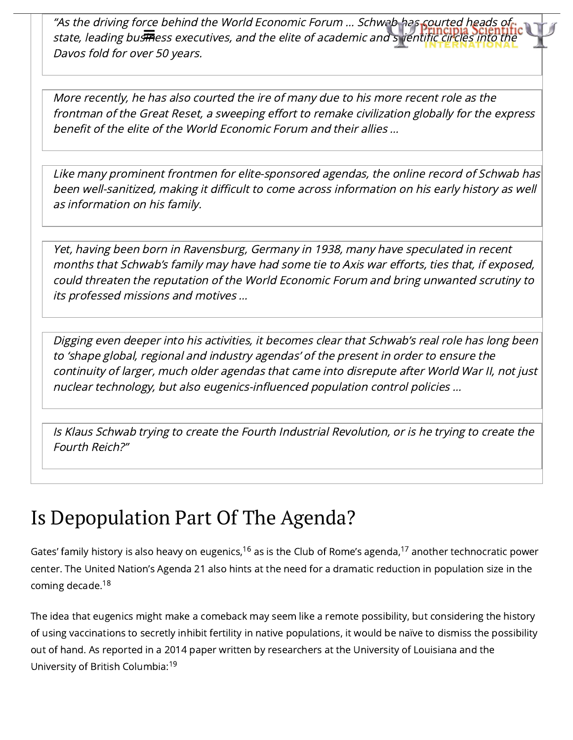"As the driving force behind the World Economic Forum ... Schwab has courted heads of state, leading bustaless executives, and the elite of academic and [scientific](https://principia-scientific.com/) circles into the Davos fold for over 50 years.

More recently, he has also courted the ire of many due to his more recent role as the frontman of the Great Reset, <sup>a</sup> sweeping effort to remake civilization globally for the express benefit of the elite of the World Economic Forum and their allies …

Like many prominent frontmen for elite-sponsored agendas, the online record of Schwab has been well-sanitized, making it difficult to come across information on his early history as well as information on his family.

Yet, having been born in Ravensburg, Germany in 1938, many have speculated in recent months that Schwab's family may have had some tie to Axis war efforts, ties that, if exposed, could threaten the reputation of the World Economic Forum and bring unwanted scrutiny to its professed missions and motives …

Digging even deeper into his activities, it becomes clear that Schwab's real role has long been to 'shape global, regional and industry agendas' of the present in order to ensure the continuity of larger, much older agendas that came into disrepute after World War II, not just nuclear technology, but also eugenics-influenced population control policies …

Is Klaus Schwab trying to create the Fourth Industrial Revolution, or is he trying to create the Fourth Reich?"

#### Is Depopulation Part Of The Agenda?

Gates' family history is also heavy on eugenics,<sup>16</sup> as is the Club of Rome's agenda,<sup>17</sup> another technocratic power center. The United Nation's Agenda 21 also hints at the need for a dramatic reduction in population size in the coming decade.<sup>18</sup>

The idea that eugenics might make a comeback may seem like a remote possibility, but considering the history of using vaccinations to secretly inhibit fertility in native populations, it would be naïve to dismiss the possibility out of hand. As reported in a 2014 paper written by researchers at the University of Louisiana and the University of British Columbia: 19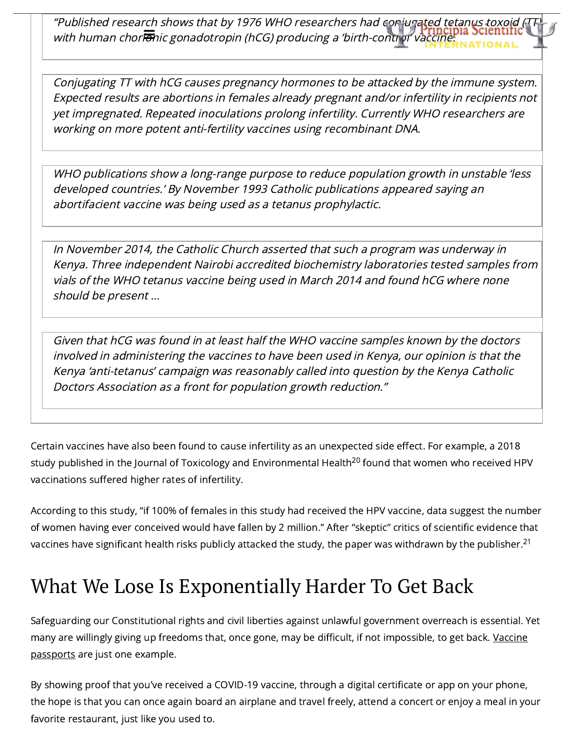"Published research shows that by 1976 WHO researchers had [conjugated](https://principia-scientific.com/) tetanus toxoid ( with human chor $\overline{\overline{e}}$ nic gonadotropin (hCG) producing a 'birth-control' vaccine.

Conjugating TT with hCG causes pregnancy hormones to be attacked by the immune system. Expected results are abortions in females already pregnant and/or infertility in recipients not yet impregnated. Repeated inoculations prolong infertility. Currently WHO researchers are working on more potent anti-fertility vaccines using recombinant DNA.

WHO publications show <sup>a</sup> long-range purpose to reduce population growth in unstable 'less developed countries.' By November 1993 Catholic publications appeared saying an abortifacient vaccine was being used as <sup>a</sup> tetanus prophylactic.

In November 2014, the Catholic Church asserted that such <sup>a</sup> program was underway in Kenya. Three independent Nairobi accredited biochemistry laboratories tested samples from vials of the WHO tetanus vaccine being used in March 2014 and found hCG where none should be present …

Given that hCG was found in at least half the WHO vaccine samples known by the doctors involved in administering the vaccines to have been used in Kenya, our opinion is that the Kenya 'anti-tetanus' campaign was reasonably called into question by the Kenya Catholic Doctors Association as <sup>a</sup> front for population growth reduction."

Certain vaccines have also been found to cause infertility as an unexpected side effect. For example, a 2018 study published in the Journal of Toxicology and Environmental Health<sup>20</sup> found that women who received HPV vaccinations suffered higher rates of infertility.

According to this study, "if 100% of females in this study had received the HPV vaccine, data suggest the number of women having ever conceived would have fallen by 2 million." After "skeptic" critics of scientific evidence that vaccines have significant health risks publicly attacked the study, the paper was withdrawn by the publisher. $^{\rm 21}$ 

## What We Lose Is Exponentially Harder To Get Back

Safeguarding our Constitutional rights and civil liberties against unlawful government overreach is essential. Yet many are willingly giving up freedoms that, once gone, may be difficult, if not [impossible,](https://articles.mercola.com/sites/articles/archive/2021/02/24/covid-vaccine-passport.aspx) to get back. Vaccine passports are just one example.

By showing proof that you've received a COVID-19 vaccine, through a digital certificate or app on your phone, the hope is that you can once again board an airplane and travel freely, attend a concert or enjoy a meal in your favorite restaurant, just like you used to.